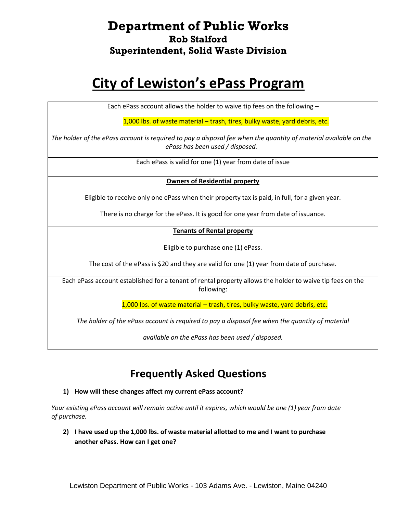# **Department of Public Works Rob Stalford Superintendent, Solid Waste Division**

# **City of Lewiston's ePass Program**

Each ePass account allows the holder to waive tip fees on the following –

1,000 lbs. of waste material – trash, tires, bulky waste, yard debris, etc.

*The holder of the ePass account is required to pay a disposal fee when the quantity of material available on the ePass has been used / disposed.*

Each ePass is valid for one (1) year from date of issue

#### **Owners of Residential property**

Eligible to receive only one ePass when their property tax is paid, in full, for a given year.

There is no charge for the ePass. It is good for one year from date of issuance.

#### **Tenants of Rental property**

Eligible to purchase one (1) ePass.

The cost of the ePass is \$20 and they are valid for one (1) year from date of purchase.

Each ePass account established for a tenant of rental property allows the holder to waive tip fees on the following:

1,000 lbs. of waste material – trash, tires, bulky waste, yard debris, etc.

*The holder of the ePass account is required to pay a disposal fee when the quantity of material* 

*available on the ePass has been used / disposed.*

# **Frequently Asked Questions**

**1) How will these changes affect my current ePass account?**

*Your existing ePass account will remain active until it expires, which would be one (1) year from date of purchase.* 

**2) I have used up the 1,000 lbs. of waste material allotted to me and I want to purchase another ePass. How can I get one?**